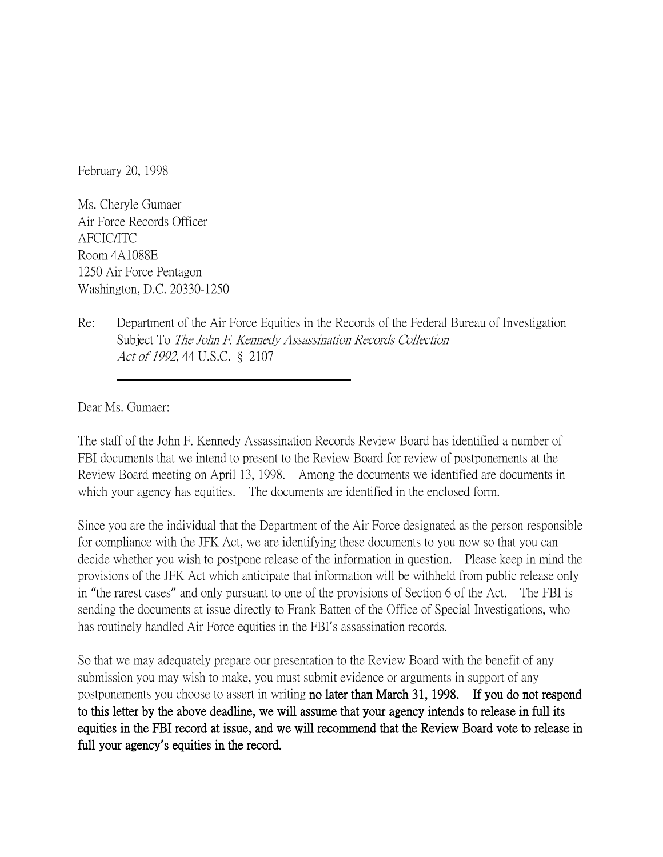February 20, 1998

Ms. Cheryle Gumaer Air Force Records Officer AFCIC/ITC Room 4A1088E 1250 Air Force Pentagon Washington, D.C. 20330-1250

Re: Department of the Air Force Equities in the Records of the Federal Bureau of Investigation Subject To The John F. Kennedy Assassination Records Collection Act of 1992, 44 U.S.C. § 2107

Dear Ms. Gumaer:

The staff of the John F. Kennedy Assassination Records Review Board has identified a number of FBI documents that we intend to present to the Review Board for review of postponements at the Review Board meeting on April 13, 1998. Among the documents we identified are documents in which your agency has equities. The documents are identified in the enclosed form.

Since you are the individual that the Department of the Air Force designated as the person responsible for compliance with the JFK Act, we are identifying these documents to you now so that you can decide whether you wish to postpone release of the information in question. Please keep in mind the provisions of the JFK Act which anticipate that information will be withheld from public release only in "the rarest cases" and only pursuant to one of the provisions of Section 6 of the Act. The FBI is sending the documents at issue directly to Frank Batten of the Office of Special Investigations, who has routinely handled Air Force equities in the FBI's assassination records.

So that we may adequately prepare our presentation to the Review Board with the benefit of any submission you may wish to make, you must submit evidence or arguments in support of any postponements you choose to assert in writing no later than March 31, 1998. If you do not respond to this letter by the above deadline, we will assume that your agency intends to release in full its equities in the FBI record at issue, and we will recommend that the Review Board vote to release in full your agency**'**s equities in the record.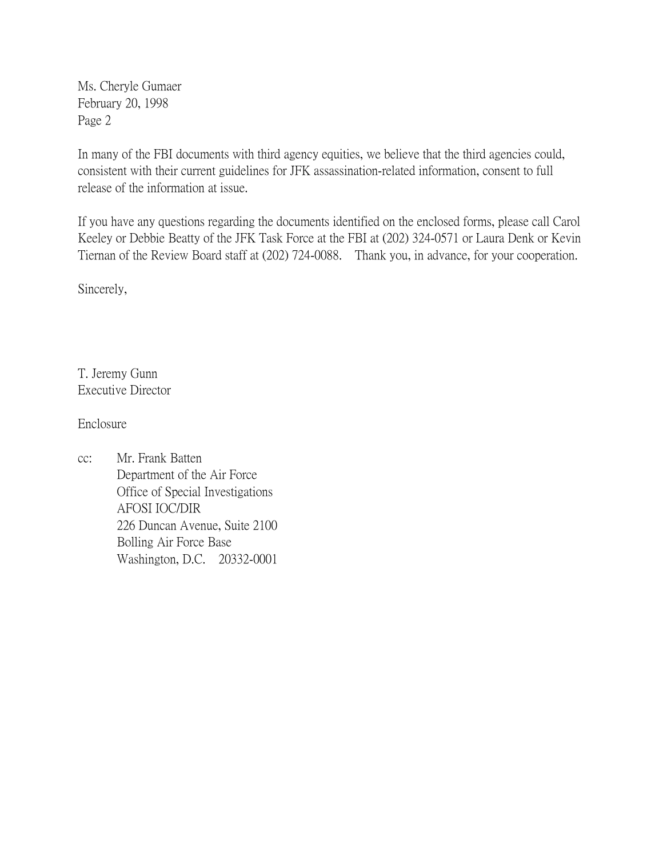Ms. Cheryle Gumaer February 20, 1998 Page 2

In many of the FBI documents with third agency equities, we believe that the third agencies could, consistent with their current guidelines for JFK assassination-related information, consent to full release of the information at issue.

If you have any questions regarding the documents identified on the enclosed forms, please call Carol Keeley or Debbie Beatty of the JFK Task Force at the FBI at (202) 324-0571 or Laura Denk or Kevin Tiernan of the Review Board staff at (202) 724-0088. Thank you, in advance, for your cooperation.

Sincerely,

T. Jeremy Gunn Executive Director

Enclosure

cc: Mr. Frank Batten Department of the Air Force Office of Special Investigations AFOSI IOC/DIR 226 Duncan Avenue, Suite 2100 Bolling Air Force Base Washington, D.C. 20332-0001